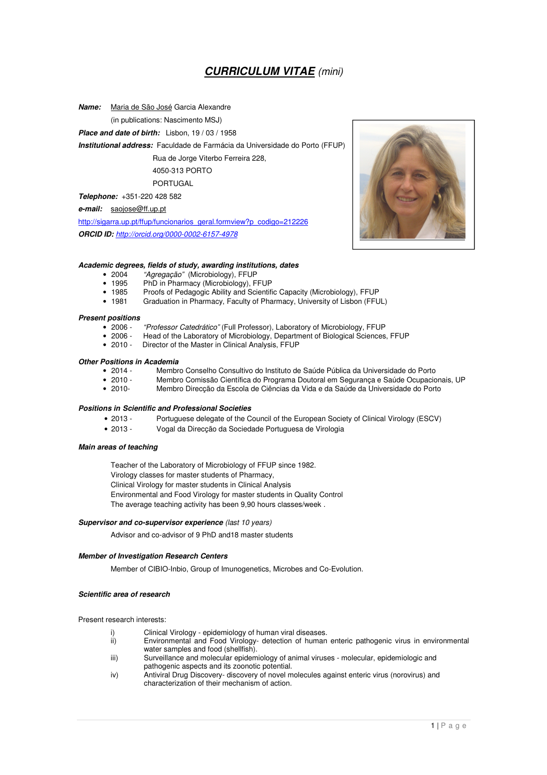### **CURRICULUM VITAE** (mini)

**Name:** Maria de São José Garcia Alexandre

(in publications: Nascimento MSJ)

**Place and date of birth:** Lisbon, 19 / 03 / 1958

**Institutional address:** Faculdade de Farmácia da Universidade do Porto (FFUP)

Rua de Jorge Viterbo Ferreira 228,

#### 4050-313 PORTO PORTUGAL

**Telephone:** +351-220 428 582

**e-mail:** saojose@ff.up.pt

http://sigarra.up.pt/ffup/funcionarios\_geral.formview?p\_codigo=212226

**ORCID ID:** http://orcid.org/0000-0002-6157-4978

#### **Academic degrees, fields of study, awarding institutions, dates**

- 2004 "Agregação" (Microbiology), FFUP
- 1995 PhD in Pharmacy (Microbiology), FFUP<br>• 1985 Proofs of Pedagogic Ability and Scientif
- 1985 Proofs of Pedagogic Ability and Scientific Capacity (Microbiology), FFUP<br>• 1981 Graduation in Pharmacy, Faculty of Pharmacy, University of Lisbon (FFU)
- Graduation in Pharmacy, Faculty of Pharmacy, University of Lisbon (FFUL)

# **Present positions**

- 2006 "Professor Catedrático" (Full Professor), Laboratory of Microbiology, FFUP<br>• 2006 Head of the Laboratory of Microbiology, Department of Biological Sciences
- Head of the Laboratory of Microbiology, Department of Biological Sciences, FFUP
- 2010 Director of the Master in Clinical Analysis, FFUP

## **Other Positions in Academia**

- 2014 Membro Conselho Consultivo do Instituto de Saúde Pública da Universidade do Porto
- 2010 Membro Comissão Científica do Programa Doutoral em Segurança e Saúde Ocupacionais, UP<br>• 2010 Membro Direcção da Escola de Ciências da Vida e da Saúde da Universidade do Porto
	- 2010- Membro Direcção da Escola de Ciências da Vida e da Saúde da Universidade do Porto

#### **Positions in Scientific and Professional Societies**

- 2013 Portuguese delegate of the Council of the European Society of Clinical Virology (ESCV)
- 2013 Vogal da Direcção da Sociedade Portuguesa de Virologia

#### **Main areas of teaching**

Teacher of the Laboratory of Microbiology of FFUP since 1982. Virology classes for master students of Pharmacy, Clinical Virology for master students in Clinical Analysis Environmental and Food Virology for master students in Quality Control The average teaching activity has been 9,90 hours classes/week .

#### **Supervisor and co-supervisor experience** (last 10 years)

Advisor and co-advisor of 9 PhD and18 master students

#### **Member of Investigation Research Centers**

Member of CIBIO-Inbio, Group of Imunogenetics, Microbes and Co-Evolution.

#### **Scientific area of research**

Present research interests:

- 
- i) Clinical Virology epidemiology of human viral diseases.<br>ii) Environmental and Food Virology- detection of human Environmental and Food Virology- detection of human enteric pathogenic virus in environmental water samples and food (shellfish).
- iii) Surveillance and molecular epidemiology of animal viruses molecular, epidemiologic and pathogenic aspects and its zoonotic potential.
- iv) Antiviral Drug Discovery- discovery of novel molecules against enteric virus (norovirus) and characterization of their mechanism of action.

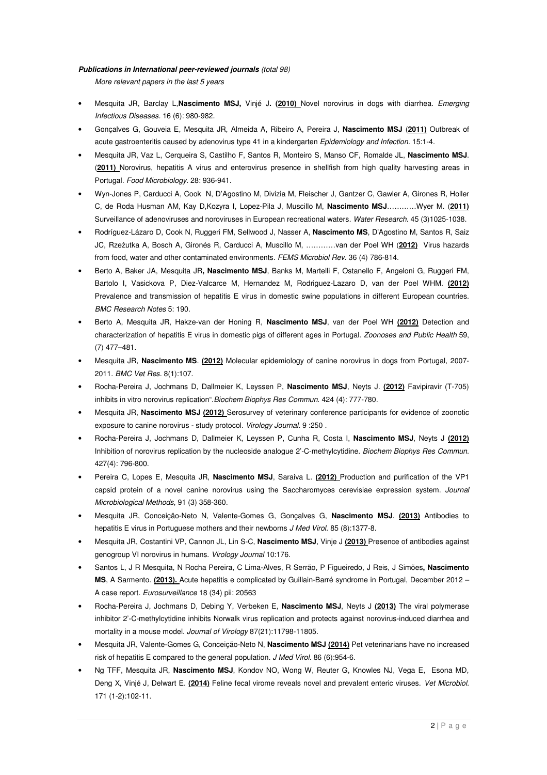#### **Publications in International peer-reviewed journals** (total 98)

More relevant papers in the last 5 years

- Mesquita JR, Barclay L,**Nascimento MSJ,** Vinjé J**. (2010)** Novel norovirus in dogs with diarrhea. Emerging Infectious Diseases. 16 (6): 980-982.
- Gonçalves G, Gouveia E, Mesquita JR, Almeida A, Ribeiro A, Pereira J, **Nascimento MSJ** (**2011)** Outbreak of acute gastroenteritis caused by adenovirus type 41 in a kindergarten Epidemiology and Infection. 15:1-4.
- Mesquita JR, Vaz L, Cerqueira S, Castilho F, Santos R, Monteiro S, Manso CF, Romalde JL, **Nascimento MSJ**. (**2011)** Norovirus, hepatitis A virus and enterovirus presence in shellfish from high quality harvesting areas in Portugal. Food Microbiology. 28: 936-941.
- Wyn-Jones P, Carducci A, Cook N, D'Agostino M, Divizia M, Fleischer J, Gantzer C, Gawler A, Girones R, Holler C, de Roda Husman AM, Kay D,Kozyra I, Lopez-Pila J, Muscillo M, **Nascimento MSJ**…………Wyer M. (**2011)** Surveillance of adenoviruses and noroviruses in European recreational waters. Water Research. 45 (3)1025-1038.
- Rodríguez-Lázaro D, Cook N, Ruggeri FM, Sellwood J, Nasser A, **Nascimento MS**, D'Agostino M, Santos R, Saiz JC, Rzeżutka A, Bosch A, Gironés R, Carducci A, Muscillo M, …………van der Poel WH (**2012)** Virus hazards from food, water and other contaminated environments. FEMS Microbiol Rev. 36 (4) 786-814.
- Berto A, Baker JA, Mesquita JR**, Nascimento MSJ**, Banks M, Martelli F, Ostanello F, Angeloni G, Ruggeri FM, Bartolo I, Vasickova P, Diez-Valcarce M, Hernandez M, Rodriguez-Lazaro D, van der Poel WHM. **(2012)**  Prevalence and transmission of hepatitis E virus in domestic swine populations in different European countries. BMC Research Notes 5: 190.
- Berto A, Mesquita JR, Hakze-van der Honing R, **Nascimento MSJ**, van der Poel WH **(2012)** Detection and characterization of hepatitis E virus in domestic pigs of different ages in Portugal. Zoonoses and Public Health 59, (7) 477–481.
- Mesquita JR, **Nascimento MS**. **(2012)** Molecular epidemiology of canine norovirus in dogs from Portugal, 2007- 2011. BMC Vet Res. 8(1):107.
- Rocha-Pereira J, Jochmans D, Dallmeier K, Leyssen P, **Nascimento MSJ**, Neyts J. **(2012)** Favipiravir (T-705) inhibits in vitro norovirus replication". Biochem Biophys Res Commun. 424 (4): 777-780.
- Mesquita JR, **Nascimento MSJ (2012)** Serosurvey of veterinary conference participants for evidence of zoonotic exposure to canine norovirus - study protocol. Virology Journal. 9 :250 .
- Rocha-Pereira J, Jochmans D, Dallmeier K, Leyssen P, Cunha R, Costa I, **Nascimento MSJ**, Neyts J **(2012)** Inhibition of norovirus replication by the nucleoside analogue 2'-C-methylcytidine. Biochem Biophys Res Commun. 427(4): 796-800.
- Pereira C, Lopes E, Mesquita JR, **Nascimento MSJ**, Saraiva L. **(2012)** Production and purification of the VP1 capsid protein of a novel canine norovirus using the Saccharomyces cerevisiae expression system. Journal Microbiological Methods, 91 (3) 358-360.
- Mesquita JR, Conceição-Neto N, Valente-Gomes G, Gonçalves G, **Nascimento MSJ**. **(2013)** Antibodies to hepatitis E virus in Portuguese mothers and their newborns J Med Virol. 85 (8):1377-8.
- Mesquita JR, Costantini VP, Cannon JL, Lin S-C, **Nascimento MSJ**, Vinje J **(2013)** Presence of antibodies against genogroup VI norovirus in humans. Virology Journal 10:176.
- Santos L, J R Mesquita, N Rocha Pereira, C Lima-Alves, R Serrão, P Figueiredo, J Reis, J Simões**, Nascimento MS**, A Sarmento. **(2013).** Acute hepatitis e complicated by Guillain-Barré syndrome in Portugal, December 2012 – A case report. Eurosurveillance 18 (34) pii: 20563
- Rocha-Pereira J, Jochmans D, Debing Y, Verbeken E, **Nascimento MSJ**, Neyts J **(2013)** The viral polymerase inhibitor 2'-C-methylcytidine inhibits Norwalk virus replication and protects against norovirus-induced diarrhea and mortality in a mouse model. Journal of Virology 87(21):11798-11805.
- Mesquita JR, Valente-Gomes G, Conceição-Neto N, **Nascimento MSJ (2014)** Pet veterinarians have no increased risk of hepatitis E compared to the general population. J Med Virol. 86 (6):954-6.
- Ng TFF, Mesquita JR, **Nascimento MSJ**, Kondov NO, Wong W, Reuter G, Knowles NJ, Vega E, Esona MD, Deng X, Vinjé J, Delwart E. **(2014)** Feline fecal virome reveals novel and prevalent enteric viruses. Vet Microbiol. 171 (1-2):102-11.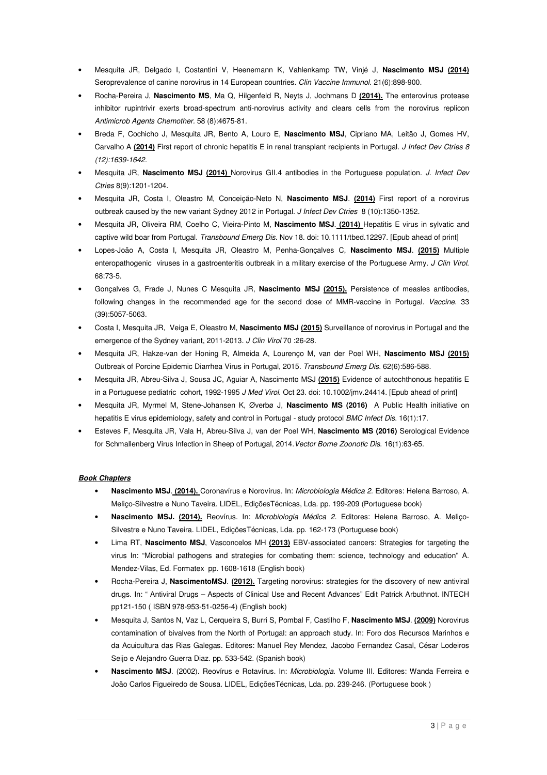- Mesquita JR, Delgado I, Costantini V, Heenemann K, Vahlenkamp TW, Vinjé J, **Nascimento MSJ (2014)** Seroprevalence of canine norovirus in 14 European countries. Clin Vaccine Immunol. 21(6):898-900.
- Rocha-Pereira J, **Nascimento MS**, Ma Q, Hilgenfeld R, Neyts J, Jochmans D **(2014).** The enterovirus protease inhibitor rupintrivir exerts broad-spectrum anti-norovirus activity and clears cells from the norovirus replicon Antimicrob Agents Chemother. 58 (8):4675-81.
- Breda F, Cochicho J, Mesquita JR, Bento A, Louro E, **Nascimento MSJ**, Cipriano MA, Leitão J, Gomes HV, Carvalho A (2014) First report of chronic hepatitis E in renal transplant recipients in Portugal. J Infect Dev Ctries 8 (12):1639-1642.
- Mesquita JR, **Nascimento MSJ (2014)** Norovirus GII.4 antibodies in the Portuguese population. J. Infect Dev Ctries 8(9):1201-1204.
- Mesquita JR, Costa I, Oleastro M, Conceição-Neto N, **Nascimento MSJ**. **(2014)** First report of a norovirus outbreak caused by the new variant Sydney 2012 in Portugal. J Infect Dev Ctries 8 (10):1350-1352.
- Mesquita JR, Oliveira RM, Coelho C, Vieira-Pinto M, **Nascimento MSJ**. **(2014)** Hepatitis E virus in sylvatic and captive wild boar from Portugal. Transbound Emerg Dis. Nov 18. doi: 10.1111/tbed.12297. [Epub ahead of print]
- Lopes-João A, Costa I, Mesquita JR, Oleastro M, Penha-Gonçalves C, **Nascimento MSJ**. **(2015)** Multiple enteropathogenic viruses in a gastroenteritis outbreak in a military exercise of the Portuguese Army. J Clin Virol. 68:73-5.
- Gonçalves G, Frade J, Nunes C Mesquita JR, **Nascimento MSJ (2015).** Persistence of measles antibodies, following changes in the recommended age for the second dose of MMR-vaccine in Portugal. Vaccine. 33 (39):5057-5063.
- Costa I, Mesquita JR, Veiga E, Oleastro M, **Nascimento MSJ (2015)** Surveillance of norovirus in Portugal and the emergence of the Sydney variant, 2011-2013. J Clin Virol 70 :26-28.
- Mesquita JR, Hakze-van der Honing R, Almeida A, Lourenço M, van der Poel WH, **Nascimento MSJ (2015)** Outbreak of Porcine Epidemic Diarrhea Virus in Portugal, 2015. Transbound Emerg Dis. 62(6):586-588.
- Mesquita JR, Abreu-Silva J, Sousa JC, Aguiar A, Nascimento MSJ **(2015)** Evidence of autochthonous hepatitis E in a Portuguese pediatric cohort, 1992-1995 J Med Virol. Oct 23. doi: 10.1002/jmv.24414. [Epub ahead of print]
- Mesquita JR, Myrmel M, Stene-Johansen K, Øverbø J, **Nascimento MS (2016)** A Public Health initiative on hepatitis E virus epidemiology, safety and control in Portugal - study protocol BMC Infect Dis. 16(1):17.
- Esteves F, Mesquita JR, Vala H, Abreu-Silva J, van der Poel WH, **Nascimento MS (2016)** Serological Evidence for Schmallenberg Virus Infection in Sheep of Portugal, 2014. Vector Borne Zoonotic Dis. 16(1):63-65.

#### **Book Chapters**

- **Nascimento MSJ**. **(2014).** Coronavírus e Norovírus. In: Microbiologia Médica 2. Editores: Helena Barroso, A. Meliço-Silvestre e Nuno Taveira. LIDEL, EdiçõesTécnicas, Lda. pp. 199-209 (Portuguese book)
- **Nascimento MSJ. (2014).** Reovírus. In: Microbiologia Médica 2. Editores: Helena Barroso, A. Meliço-Silvestre e Nuno Taveira. LIDEL, EdiçõesTécnicas, Lda. pp. 162-173 (Portuguese book)
- Lima RT, **Nascimento MSJ**, Vasconcelos MH **(2013)** EBV-associated cancers: Strategies for targeting the virus In: "Microbial pathogens and strategies for combating them: science, technology and education" A. Mendez-Vilas, Ed. Formatex pp. 1608-1618 (English book)
- Rocha-Pereira J, **NascimentoMSJ**. **(2012).** Targeting norovirus: strategies for the discovery of new antiviral drugs. In: " Antiviral Drugs – Aspects of Clinical Use and Recent Advances" Edit Patrick Arbuthnot. INTECH pp121-150 ( ISBN 978-953-51-0256-4) (English book)
- Mesquita J, Santos N, Vaz L, Cerqueira S, Burri S, Pombal F, Castilho F, **Nascimento MSJ**. **(2009)** Norovirus contamination of bivalves from the North of Portugal: an approach study. In: Foro dos Recursos Marinhos e da Acuicultura das Rias Galegas. Editores: Manuel Rey Mendez, Jacobo Fernandez Casal, César Lodeiros Seijo e Alejandro Guerra Diaz. pp. 533-542. (Spanish book)
- **Nascimento MSJ**. (2002). Reovírus e Rotavírus. In: Microbiologia. Volume III. Editores: Wanda Ferreira e João Carlos Figueiredo de Sousa. LIDEL, EdiçõesTécnicas, Lda. pp. 239-246. (Portuguese book )